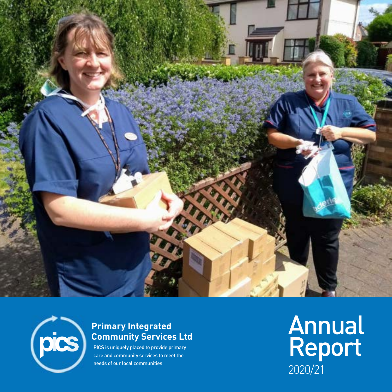



#### **Primary Integrated Community Services Ltd**

PICS is uniquely placed to provide primary care and community services to meet the

needs of our local communities  $2020/21$ **Annual** Report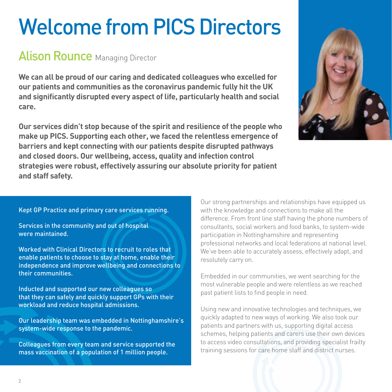# Welcome from PICS Directors

## **Alison Rounce Managing Director**

**We can all be proud of our caring and dedicated colleagues who excelled for our patients and communities as the coronavirus pandemic fully hit the UK and significantly disrupted every aspect of life, particularly health and social care.**

**Our services didn't stop because of the spirit and resilience of the people who make up PICS. Supporting each other, we faced the relentless emergence of barriers and kept connecting with our patients despite disrupted pathways and closed doors. Our wellbeing, access, quality and infection control strategies were robust, effectively assuring our absolute priority for patient and staff safety.**

Kept GP Practice and primary care services running.

Services in the community and out of hospital were maintained.

Worked with Clinical Directors to recruit to roles that enable patients to choose to stay at home, enable their independence and improve wellbeing and connections to their communities.

Inducted and supported our new colleagues so that they can safely and quickly support GPs with their workload and reduce hospital admissions.

Our leadership team was embedded in Nottinghamshire's system-wide response to the pandemic.

Colleagues from every team and service supported the mass vaccination of a population of 1 million people.

Our strong partnerships and relationships have equipped us with the knowledge and connections to make all the difference. From front line staff having the phone numbers of consultants, social workers and food banks, to system-wide participation in Nottinghamshire and representing professional networks and local federations at national level. We've been able to accurately assess, effectively adapt, and resolutely carry on.

Embedded in our communities, we went searching for the most vulnerable people and were relentless as we reached past patient lists to find people in need.

Using new and innovative technologies and techniques, we quickly adapted to new ways of working. We also took our patients and partners with us, supporting digital access schemes, helping patients and carers use their own devices to access video consultations, and providing specialist frailty training sessions for care home staff and district nurses.

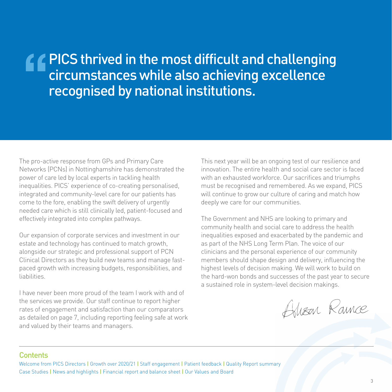# **PICS thrived in the most difficult and challenging** circumstances while also achieving excellence recognised by national institutions.

The pro-active response from GPs and Primary Care Networks (PCNs) in Nottinghamshire has demonstrated the power of care led by local experts in tackling health inequalities. PICS' experience of co-creating personalised, integrated and community-level care for our patients has come to the fore, enabling the swift delivery of urgently needed care which is still clinically led, patient-focused and effectively integrated into complex pathways.

Our expansion of corporate services and investment in our estate and technology has continued to match growth, alongside our strategic and professional support of PCN Clinical Directors as they build new teams and manage fastpaced growth with increasing budgets, responsibilities, and liabilities.

I have never been more proud of the team I work with and of the services we provide. Our staff continue to report higher rates of engagement and satisfaction than our comparators as detailed on page 7, including reporting feeling safe at work and valued by their teams and managers.

This next year will be an ongoing test of our resilience and innovation. The entire health and social care sector is faced with an exhausted workforce. Our sacrifices and triumphs must be recognised and remembered. As we expand, PICS will continue to grow our culture of caring and match how deeply we care for our communities.

The Government and NHS are looking to primary and community health and social care to address the health inequalities exposed and exacerbated by the pandemic and as part of the NHS Long Term Plan. The voice of our clinicians and the personal experience of our community members should shape design and delivery, influencing the highest levels of decision making. We will work to build on the hard-won bonds and successes of the past year to secure a sustained role in system-level decision makings.

Alisan Raince

#### **Contents**

Welcome from PICS Directors **|** Growth over 2020/21 **|** Staff engagement **|** Patient feedback **|** Quality Report summary Case Studies **|** News and highlights **|** Financial report and balance sheet **|** Our Values and Board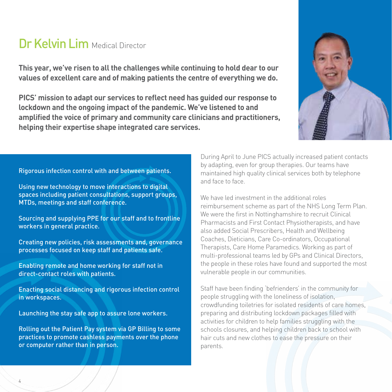# Dr Kelvin Lim Medical Director

**This year, we've risen to all the challenges while continuing to hold dear to our values of excellent care and of making patients the centre of everything we do.**

**PICS' mission to adapt our services to reflect need has guided our response to lockdown and the ongoing impact of the pandemic. We've listened to and amplified the voice of primary and community care clinicians and practitioners, helping their expertise shape integrated care services.**



#### Rigorous infection control with and between patients.

Using new technology to move interactions to digital spaces including patient consultations, support groups, MTDs, meetings and staff conference.

Sourcing and supplying PPE for our staff and to frontline workers in general practice.

Creating new policies, risk assessments and, governance processes focused on keep staff and patients safe.

Enabling remote and home working for staff not in direct-contact roles with patients.

Enacting social distancing and rigorous infection control in workspaces.

Launching the stay safe app to assure lone workers.

Rolling out the Patient Pay system via GP Billing to some practices to promote cashless payments over the phone or computer rather than in person.

During April to June PICS actually increased patient contacts by adapting, even for group therapies. Our teams have maintained high quality clinical services both by telephone and face to face.

We have led investment in the additional roles reimbursement scheme as part of the NHS Long Term Plan. We were the first in Nottinghamshire to recruit Clinical Pharmacists and First Contact Physiotherapists, and have also added Social Prescribers, Health and Wellbeing Coaches, Dieticians, Care Co-ordinators, Occupational Therapists, Care Home Paramedics. Working as part of multi-professional teams led by GPs and Clinical Directors, the people in these roles have found and supported the most vulnerable people in our communities.

Staff have been finding 'befrienders' in the community for people struggling with the loneliness of isolation, crowdfunding toiletries for isolated residents of care homes, preparing and distributing lockdown packages filled with activities for children to help families struggling with the schools closures, and helping children back to school with hair cuts and new clothes to ease the pressure on their parents.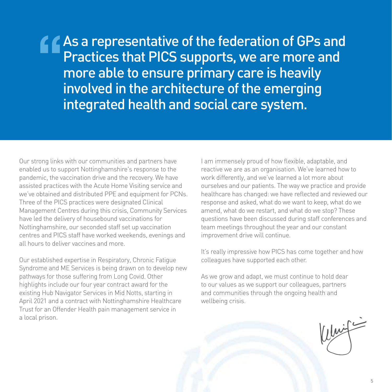As a representative of the federation of GPs and Practices that PICS supports, we are more and more able to ensure primary care is heavily involved in the architecture of the emerging integrated health and social care system.

Our strong links with our communities and partners have enabled us to support Nottinghamshire's response to the pandemic, the vaccination drive and the recovery. We have assisted practices with the Acute Home Visiting service and we've obtained and distributed PPE and equipment for PCNs. Three of the PICS practices were designated Clinical Management Centres during this crisis, Community Services have led the delivery of housebound vaccinations for Nottinghamshire, our seconded staff set up vaccination centres and PICS staff have worked weekends, evenings and all hours to deliver vaccines and more.

Our established expertise in Respiratory, Chronic Fatigue Syndrome and ME Services is being drawn on to develop new pathways for those suffering from Long Covid. Other highlights include our four year contract award for the existing Hub Navigator Services in Mid Notts, starting in April 2021 and a contract with Nottinghamshire Healthcare Trust for an Offender Health pain management service in a local prison.

I am immensely proud of how flexible, adaptable, and reactive we are as an organisation. We've learned how to work differently, and we've learned a lot more about ourselves and our patients. The way we practice and provide healthcare has changed: we have reflected and reviewed our response and asked, what do we want to keep, what do we amend, what do we restart, and what do we stop? These questions have been discussed during staff conferences and team meetings throughout the year and our constant improvement drive will continue.

It's really impressive how PICS has come together and how colleagues have supported each other.

As we grow and adapt, we must continue to hold dear to our values as we support our colleagues, partners and communities through the ongoing health and wellbeing crisis.

 $\frac{1}{2}$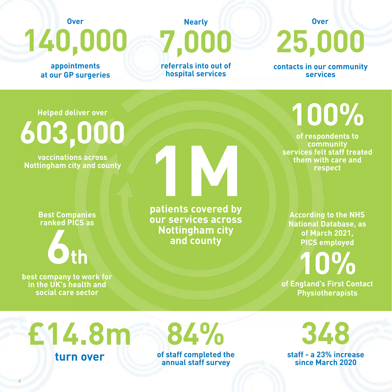**appointments at our GP surgeries**

**Over**

# **140,000 7,000 Nearly referrals into out of**

**hospital services**

# **25,000 Over**

**contacts in our community services**

**Helped deliver over**

**603,000**

**vaccinations across Nottingham city and county**

> **Best Companies ranked PICS as**

> > **6th**

**best company to work for in the UK's health and social care sector**

6

**1M**<br>**nationts** covered by **patients covered by our services across Nottingham city and county**

**100%**

**of respondents to community services felt staff treated them with care and respect**

**According to the NHS National Database, as of March 2021, PICS employed**

**of England's First Contact 10% Physiotherapists**

**£14.8m turn over**

**of staff completed the 84%**

**annual staff survey**

**348**

**staff - a 23% increase since March 2020**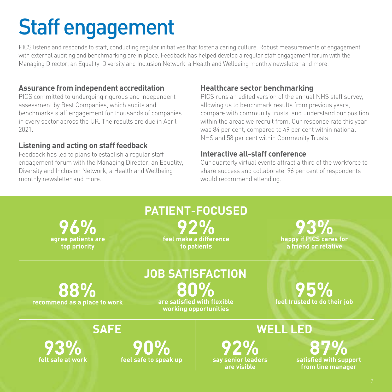# Staff engagement

PICS listens and responds to staff, conducting regular initiatives that foster a caring culture. Robust measurements of engagement with external auditing and benchmarking are in place. Feedback has helped develop a regular staff engagement forum with the Managing Director, an Equality, Diversity and Inclusion Network, a Health and Wellbeing monthly newsletter and more.

#### **Assurance from independent accreditation**

PICS committed to undergoing rigorous and independent assessment by Best Companies, which audits and benchmarks staff engagement for thousands of companies in every sector across the UK. The results are due in April 2021.

#### **Listening and acting on staff feedback**

Feedback has led to plans to establish a regular staff engagement forum with the Managing Director, an Equality, Diversity and Inclusion Network, a Health and Wellbeing monthly newsletter and more.

#### **Healthcare sector benchmarking**

PICS runs an edited version of the annual NHS staff survey, allowing us to benchmark results from previous years, compare with community trusts, and understand our position within the areas we recruit from. Our response rate this year was 84 per cent, compared to 49 per cent within national NHS and 58 per cent within Community Trusts.

#### **Interactive all-staff conference**

Our quarterly virtual events attract a third of the workforce to share success and collaborate. 96 per cent of respondents would recommend attending.

**agree patients are 96% top priority**

**feel make a difference 92% to patients PATIENT-FOCUSED**

**happy if PICS cares for 93% a friend or relative**

**recommend as a place to work 88%**

**are satisfied with flexible 80% JOB SATISFACTION**

**working opportunities**

**feel trusted to do their job 95%**

**SAFE**

**felt safe at work 93%**

**feel safe to speak up 90%**

## **WELL LED**

**say senior leaders 92% are visible**

**satisfied with support 87% from line manager**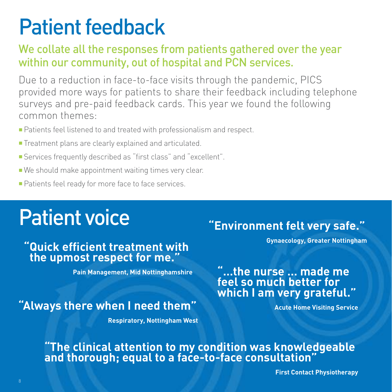# Patient feedback

### We collate all the responses from patients gathered over the year within our community, out of hospital and PCN services.

Due to a reduction in face-to-face visits through the pandemic, PICS provided more ways for patients to share their feedback including telephone surveys and pre-paid feedback cards. This year we found the following common themes:

- Patients feel listened to and treated with professionalism and respect.
- Treatment plans are clearly explained and articulated.
- Services frequently described as "first class" and "excellent".
- We should make appointment waiting times very clear.
- Patients feel ready for more face to face services.

# Patient voice

### **"Quick efficient treatment with the upmost respect for me."**

**Pain Management, Mid Nottinghamshire**

# **"Always there when I need them"**

**Respiratory, Nottingham West**

# **"Environment felt very safe."**

**Gynaecology, Greater Nottingham**

### **"…the nurse … made me feel so much better for which I am very grateful."**

**Acute Home Visiting Service**

### **"The clinical attention to my condition was knowledgeable and thorough; equal to a face-to-face consultation"**

**First Contact Physiotherapy**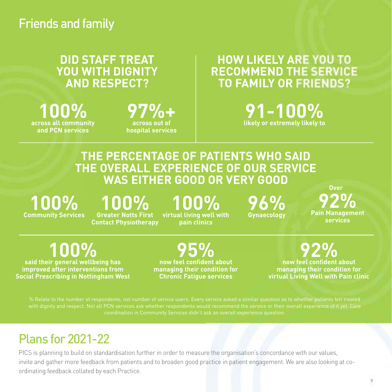### **DID STAFF TREAT YOU WITH DIGNITY AND RESPECT?**

**across all community 100% and PCN services**

# **97%+ across out of**

**hospital services**

### **HOW LIKELY ARE YOU TO RECOMMEND THE SERVICE TO FAMILY OR FRIENDS?**

**likely or extremely likely to 91-100%**

### **THE PERCENTAGE OF PATIENTS WHO SAID THE OVERALL EXPERIENCE OF OUR SERVICE WAS EITHER GOOD OR VERY GOOD**

**Community Services 100%**

### **Greater Notts First 100%**

**Contact Physiotherapy**

**100%**

**virtual living well with pain clinics**

**96%**<br><sub>Gynaecology</sub>

**Over**

**Gynaecology Pain Management 92% services**

**said their general wellbeing has 100%**

**improved after interventions from Social Prescribing in Nottingham West**

**now feel confident about 95% managing their condition for Chronic Fatigue services**

**now feel confident about 92% managing their condition for virtual Living Well with Pain clinic**

with dignity and respect. Not all PCN services ask whether respondents would recommend the service or their overall experience of it yet. Care

# Plans for 2021-22

PICS is planning to build on standardisation further in order to measure the organisation's concordance with our values, invite and gather more feedback from patients and to broaden good practice in patient engagement. We are also looking at coordinating feedback collated by each Practice.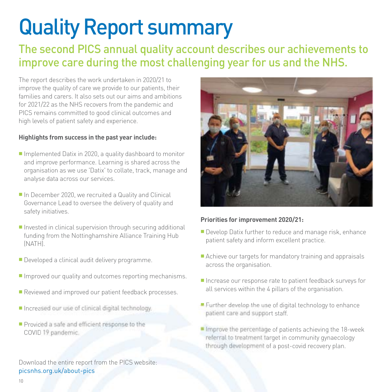# Quality Report summary

### The second PICS annual quality account describes our achievements to improve care during the most challenging year for us and the NHS.

The report describes the work undertaken in 2020/21 to improve the quality of care we provide to our patients, their families and carers. It also sets out our aims and ambitions for 2021/22 as the NHS recovers from the pandemic and PICS remains committed to good clinical outcomes and high levels of patient safety and experience.

#### **Highlights from success in the past year include:**

- Implemented Datix in 2020, a quality dashboard to monitor and improve performance. Learning is shared across the organisation as we use 'Datix' to collate, track, manage and analyse data across our services.
- In December 2020, we recruited a Quality and Clinical Governance Lead to oversee the delivery of quality and safety initiatives.
- Invested in clinical supervision through securing additional funding from the Nottinghamshire Alliance Training Hub (NATH).
- Developed a clinical audit delivery programme.
- Improved our quality and outcomes reporting mechanisms.
- Reviewed and improved our patient feedback processes.
- Increased our use of clinical digital technology.
- Provided a safe and efficient response to the COVID 19 pandemic.

Download the entire report from the PICS website: [picsnhs.org.uk/about-pics](https://picsnhs.org.uk/publications/)



#### **Priorities for improvement 2020/21:**

- Develop Datix further to reduce and manage risk, enhance patient safety and inform excellent practice.
- Achieve our targets for mandatory training and appraisals across the organisation.
- Increase our response rate to patient feedback surveys for all services within the 4 pillars of the organisation.
- **Eurther develop the use of digital technology to enhance** patient care and support staff.
- Improve the percentage of patients achieving the 18-week referral to treatment target in community gynaecology through development of a post-covid recovery plan.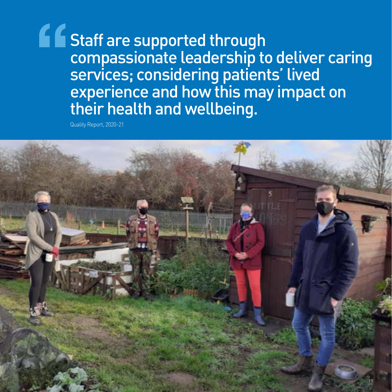**Staff are supported through** compassionate leadership to deliver caring services; considering patients' lived experience and how this may impact on their health and wellbeing.

Quality Report, 2020-21

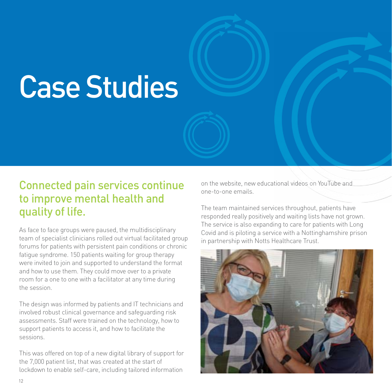# Case Studies

### Connected pain services continue to improve mental health and quality of life.

As face to face groups were paused, the multidisciplinary team of specialist clinicians rolled out virtual facilitated group forums for patients with persistent pain conditions or chronic fatigue syndrome. 150 patients waiting for group therapy were invited to join and supported to understand the format and how to use them. They could move over to a private room for a one to one with a facilitator at any time during the session.

The design was informed by patients and IT technicians and involved robust clinical governance and safeguarding risk assessments. Staff were trained on the technology, how to support patients to access it, and how to facilitate the sessions.

This was offered on top of a new digital library of support for the 7,000 patient list, that was created at the start of lockdown to enable self-care, including tailored information

on the website, new educational videos on YouTube and one-to-one emails.

The team maintained services throughout, patients have responded really positively and waiting lists have not grown. The service is also expanding to care for patients with Long Covid and is piloting a service with a Nottinghamshire prison in partnership with Notts Healthcare Trust.

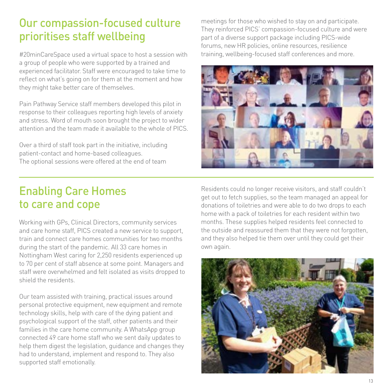### Our compassion-focused culture prioritises staff wellbeing

#20minCareSpace used a virtual space to host a session with a group of people who were supported by a trained and experienced facilitator. Staff were encouraged to take time to reflect on what's going on for them at the moment and how they might take better care of themselves.

Pain Pathway Service staff members developed this pilot in response to their colleagues reporting high levels of anxiety and stress. Word of mouth soon brought the project to wider attention and the team made it available to the whole of PICS.

Over a third of staff took part in the initiative, including patient-contact and home-based colleagues. The optional sessions were offered at the end of team

meetings for those who wished to stay on and participate. They reinforced PICS' compassion-focused culture and were part of a diverse support package including PICS-wide forums, new HR policies, online resources, resilience training, wellbeing-focused staff conferences and more.



### Enabling Care Homes to care and cope

Working with GPs, Clinical Directors, community services and care home staff, PICS created a new service to support, train and connect care homes communities for two months during the start of the pandemic. All 33 care homes in Nottingham West caring for 2,250 residents experienced up to 70 per cent of staff absence at some point. Managers and staff were overwhelmed and felt isolated as visits dropped to shield the residents.

Our team assisted with training, practical issues around personal protective equipment, new equipment and remote technology skills, help with care of the dying patient and psychological support of the staff, other patients and their families in the care home community. A WhatsApp group connected 49 care home staff who we sent daily updates to help them digest the legislation, guidance and changes they had to understand, implement and respond to. They also supported staff emotionally.

Residents could no longer receive visitors, and staff couldn't get out to fetch supplies, so the team managed an appeal for donations of toiletries and were able to do two drops to each home with a pack of toiletries for each resident within two months. These supplies helped residents feel connected to the outside and reassured them that they were not forgotten, and they also helped tie them over until they could get their own again.

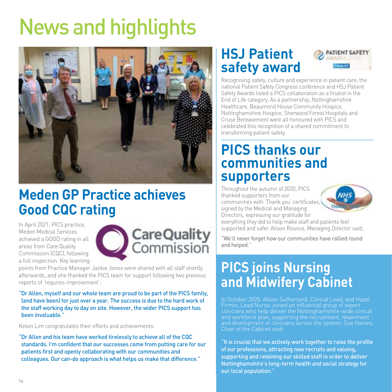# News and highlights



# **Meden GP Practice achieves Good CQC rating**

In April 2021, PICS practice, Meden Medical Services achieved a GOOD rating in all areas from Care Quality Commission (CQC), following a full inspection. Key learning



points from Practice Manager Jackie Jones were shared with all staff shortly afterwards, and she thanked the PICS team for support following two previous reports of 'requires improvement':

"Dr Allen, myself and our whole team are proud to be part of the PICS family, (and have been) for just over a year. The success is due to the hard work of the staff working day to day on site. However, the wider PICS support has been invaluable."

Kelvin Lim congratulates their efforts and achievements:

"Dr Allen and his team have worked tirelessly to achieve all of the CQC standards. I'm confident that our successes come from putting care for our patients first and openly collaborating with our communities and colleagues. Our can-do approach is what helps us make that difference."

# **HSJ Patient safety award**



Recognising safety, culture and experience in patient care, the national Patient Safety Congress conference and HSJ Patient Safety Awards listed a PICS collaboration as a finalist in the End of Life category. As a partnership, Nottinghamshire Healthcare, Beaumond House Community Hospice, Nottinghamshire Hospice, Sherwood Forest Hospitals and Cruse Bereavement were all honoured with PICS and celebrated this recognition of a shared commitment to transforming patient safety.

# **PICS thanks our communities and supporters**

Throughout the autumn of 2020, PICS thanked supporters from our communities with 'Thank you' certificates, signed by the Medical and Managing Directors, expressing our gratitude for



everything they did to help make staff and patients feel supported and safer. Alison Rounce, Managing Director said;

"We'll never forget how our communities have rallied round and helped."

# **PICS joins Nursing and Midwifery Cabinet**

Firmin, Lead Nurse, joined an influential group of expert clinicians who help deliver the Nottinghamshire-wide clinical and workforce plan, supporting the recruitment, retainment and development of clinicians across the system. Sue Haines, Chair of the Cabinet said:

"It is crucial that we actively work together to raise the profile of our professions, attracting new recruits and valuing, supporting and retaining our skilled staff in order to deliver Nottinghamshire's long-term health and social strategy for our local population."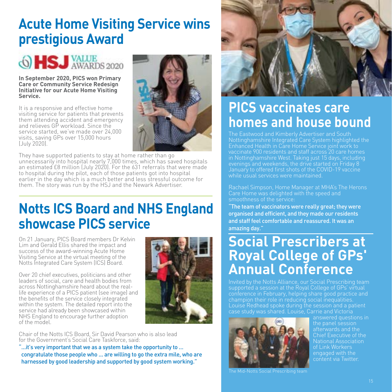# **Acute Home Visiting Service wins prestigious Award**

# 6 HSJ VALUE

#### **In September 2020, PICS won Primary Care or Community Service Redesign Initiative for our Acute Home Visiting Service.**

It is a responsive and effective home visiting service for patients that prevents them attending accident and emergency and relieves GP workload. Since the service started, we've made over 24,000 visits, saving GPs over 15,000 hours (July 2020).



They have supported patients to stay at home rather than go unnecessarily into hospital nearly 7,000 times, which has saved hospitals an estimated £8 million (July 2020). For the 631 referrals that were made to hospital during the pilot, each of those patients got into hospital earlier in the day which is a much better and less stressful outcome for them. The story was run by the HSJ and the Newark Advertiser.

# **Notts ICS Board and NHS England showcase PICS service**

On 21 January, PICS Board members Dr Kelvin Lim and Gerald Ellis shared the impact and success of the award-winning Acute Home Visiting Service at the virtual meeting of the Notts Integrated Care System (ICS) Board.

Over 20 chief executives, politicians and other leaders of social, care and health bodies from across Nottinghamshire heard about the reallife experience of a PICS patient (see image) and the benefits of the service closely integrated within the system. The detailed report into the service had already been showcased within NHS England to encourage further adoption of the model.



Chair of the Notts ICS Board, Sir David Pearson who is also lead for the Government's Social Care Taskforce, said:

"...it's very important that we as a system take the opportunity to ... congratulate those people who ... are willing to go the extra mile, who are harnessed by good leadership and supported by good system working."



# **PICS vaccinates care homes and house bound**

The Eastwood and Kimberly Advertiser and South Nottinghamshire Integrated Care System highlighted the Enhanced Health in Care Home Service joint work to vaccinate 900 residents and staff across 20 care homes in Nottinghamshire West. Taking just 15 days, including evenings and weekends, the drive started on Friday 8 January to offered first shots of the COVID-19 vaccine while usual services were maintained.

Rachael Simpson, Home Manager at MHA's The Herons Care Home was delighted with the speed and smoothness of the service:

"The team of vaccinators were really great; they were organised and efficient, and they made our residents and staff feel comfortable and reassured. It was an amazing day."

# **Social Prescribers at Royal College of GPs' Annual Conference**

conference in February, helping share good practice and champion their role in reducing social inequalities. Louise Redhead spoke during the session and a patient



answered questions in afterwards and the Chief Executive of the National Association of Link Workers engaged with the content via Twitter.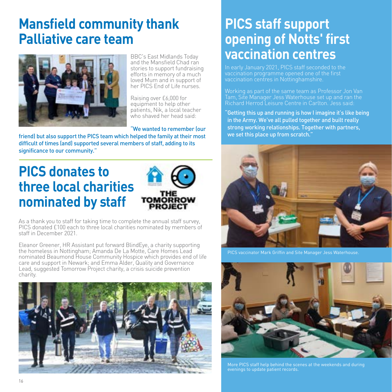# **Mansfield community thank Palliative care team**



BBC's East Midlands Today and the Mansfield Chad ran stories to support fundraising efforts in memory of a much loved Mum and in support of her PICS End of Life nurses.

Raising over £6,000 for equipment to help other patients, Nik, a local teacher who shaved her head said:

"We wanted to remember (our

friend) but also support the PICS team which helped the family at their most difficult of times (and) supported several members of staff, adding to its significance to our community."

# **PICS donates to three local charities nominated by staff**



As a thank you to staff for taking time to complete the annual staff survey, PICS donated £100 each to three local charities nominated by members of staff in December 2021.

Eleanor Greener, HR Assistant put forward BlindEye, a charity supporting the homeless in Nottingham; Amanda De La Motte, Care Homes Lead nominated Beaumond House Community Hospice which provides end of life care and support in Newark; and Emma Alder, Quality and Governance Lead, suggested Tomorrow Project charity, a crisis suicide prevention charity.



# **PICS staff support opening of Notts' first vaccination centres**

In early January 2021, PICS staff seconded to the vaccination centres in Nottinghamshire.

Working as part of the same team as Professor Jon Van Tam, Site Manager Jess Waterhouse set up and ran the Richard Herrod Leisure Centre in Carlton. Jess said:

"Getting this up and running is how I imagine it's like being in the Army. We've all pulled together and built really strong working relationships. Together with partners, we set this place up from scratch."



PICS vaccinator Mark Griffin and Site Manager Jess Waterhouse.



More PICS staff help behind the scenes at the weekends and during evenings to update patient records.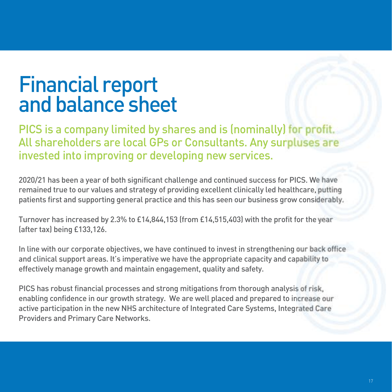# Financial report and balance sheet

PICS is a company limited by shares and is (nominally) for profit. All shareholders are local GPs or Consultants. Any surpluses are invested into improving or developing new services.

2020/21 has been a year of both significant challenge and continued success for PICS. We have remained true to our values and strategy of providing excellent clinically led healthcare, putting patients first and supporting general practice and this has seen our business grow considerably.

Turnover has increased by 2.3% to £14,844,153 (from £14,515,403) with the profit for the year (after tax) being £133,126.

In line with our corporate objectives, we have continued to invest in strengthening our back office and clinical support areas. It's imperative we have the appropriate capacity and capability to effectively manage growth and maintain engagement, quality and safety.

PICS has robust financial processes and strong mitigations from thorough analysis of risk, enabling confidence in our growth strategy. We are well placed and prepared to increase our active participation in the new NHS architecture of Integrated Care Systems, Integrated Care Providers and Primary Care Networks.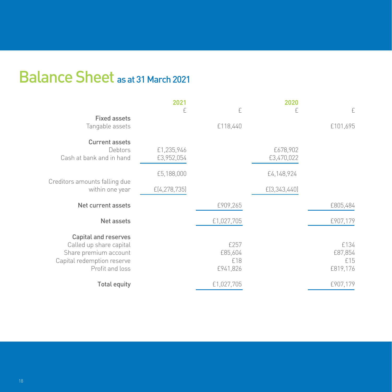# Balance Sheet as at 31 March 2021

|                                                                                                                                  | 2021                     |                                    | 2020                   |                                    |
|----------------------------------------------------------------------------------------------------------------------------------|--------------------------|------------------------------------|------------------------|------------------------------------|
|                                                                                                                                  | £                        | £                                  | £                      | £                                  |
| <b>Fixed assets</b><br>Tangable assets                                                                                           |                          | £118,440                           |                        | £101,695                           |
| <b>Current assets</b><br>Debtors<br>Cash at bank and in hand                                                                     | £1,235,946<br>£3,952,054 |                                    | £678,902<br>£3,470,022 |                                    |
| Creditors amounts falling due<br>within one year                                                                                 | £5,188,000               |                                    | £4,148,924             |                                    |
|                                                                                                                                  | E(4, 278, 735)           |                                    | E(3,343,440)           |                                    |
| Net current assets                                                                                                               |                          | £909,265                           |                        | £805,484                           |
| Net assets                                                                                                                       |                          | £1,027,705                         |                        | £907,179                           |
| <b>Capital and reserves</b><br>Called up share capital<br>Share premium account<br>Capital redemption reserve<br>Profit and loss |                          | £257<br>£85,604<br>£18<br>£941,826 |                        | £134<br>£87,854<br>£15<br>£819,176 |
| <b>Total equity</b>                                                                                                              |                          | £1,027,705                         |                        | £907,179                           |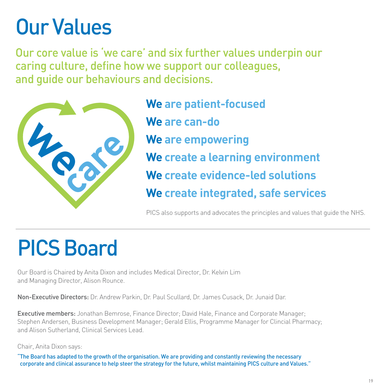# Our Values

Our core value is 'we care' and six further values underpin our caring culture, define how we support our colleagues, and guide our behaviours and decisions.



**We are patient-focused We are can-do We are empowering We create a learning environment We create evidence-led solutions We create integrated, safe services**

PICS also supports and advocates the principles and values that guide the NHS.

# PICS Board

Our Board is Chaired by Anita Dixon and includes Medical Director, Dr. Kelvin Lim and Managing Director, Alison Rounce.

Non-Executive Directors: Dr. Andrew Parkin, Dr. Paul Scullard, Dr. James Cusack, Dr. Junaid Dar.

Executive members: Jonathan Bemrose, Finance Director; David Hale, Finance and Corporate Manager; Stephen Andersen, Business Development Manager; Gerald Ellis, Programme Manager for Clincial Pharmacy; and Alison Sutherland, Clinical Services Lead.

Chair, Anita Dixon says:

"The Board has adapted to the growth of the organisation. We are providing and constantly reviewing the necessary corporate and clinical assurance to help steer the strategy for the future, whilst maintaining PICS culture and Values."